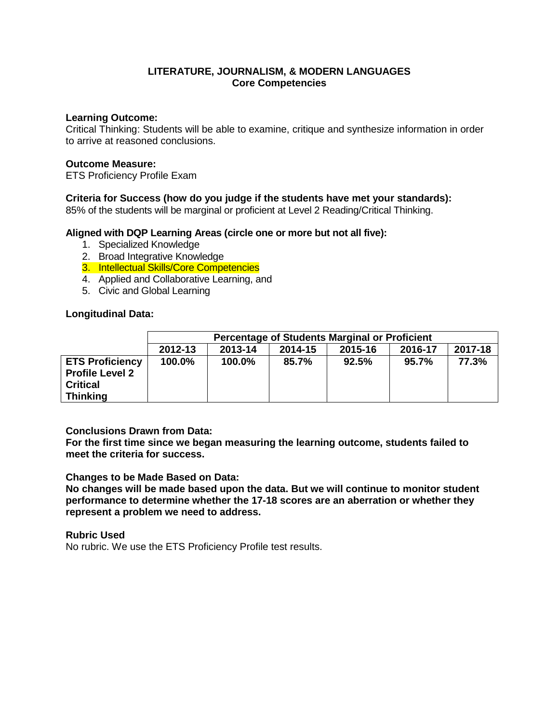### **Learning Outcome:**

Critical Thinking: Students will be able to examine, critique and synthesize information in order to arrive at reasoned conclusions.

#### **Outcome Measure:**

ETS Proficiency Profile Exam

## **Criteria for Success (how do you judge if the students have met your standards):**

85% of the students will be marginal or proficient at Level 2 Reading/Critical Thinking.

### **Aligned with DQP Learning Areas (circle one or more but not all five):**

- 1. Specialized Knowledge
- 2. Broad Integrative Knowledge
- 3. Intellectual Skills/Core Competencies
- 4. Applied and Collaborative Learning, and
- 5. Civic and Global Learning

### **Longitudinal Data:**

|                        | <b>Percentage of Students Marginal or Proficient</b> |         |         |         |         |         |
|------------------------|------------------------------------------------------|---------|---------|---------|---------|---------|
|                        | 2012-13                                              | 2013-14 | 2014-15 | 2015-16 | 2016-17 | 2017-18 |
| <b>ETS Proficiency</b> | 100.0%                                               | 100.0%  | 85.7%   | 92.5%   | 95.7%   | 77.3%   |
| <b>Profile Level 2</b> |                                                      |         |         |         |         |         |
| <b>Critical</b>        |                                                      |         |         |         |         |         |
| <b>Thinking</b>        |                                                      |         |         |         |         |         |

### **Conclusions Drawn from Data:**

**For the first time since we began measuring the learning outcome, students failed to meet the criteria for success.**

**Changes to be Made Based on Data:**

**No changes will be made based upon the data. But we will continue to monitor student performance to determine whether the 17-18 scores are an aberration or whether they represent a problem we need to address.**

**Rubric Used** No rubric. We use the ETS Proficiency Profile test results.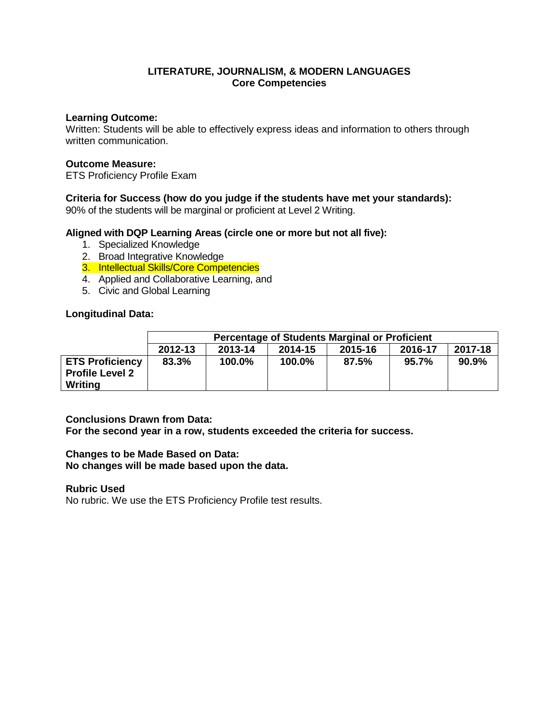### **Learning Outcome:**

Written: Students will be able to effectively express ideas and information to others through written communication.

## **Outcome Measure:**

ETS Proficiency Profile Exam

# **Criteria for Success (how do you judge if the students have met your standards):**

90% of the students will be marginal or proficient at Level 2 Writing.

## **Aligned with DQP Learning Areas (circle one or more but not all five):**

- 1. Specialized Knowledge
- 2. Broad Integrative Knowledge
- 3. Intellectual Skills/Core Competencies
- 4. Applied and Collaborative Learning, and
- 5. Civic and Global Learning

## **Longitudinal Data:**

|                                                             | Percentage of Students Marginal or Proficient |         |         |         |         |         |
|-------------------------------------------------------------|-----------------------------------------------|---------|---------|---------|---------|---------|
|                                                             | 2012-13                                       | 2013-14 | 2014-15 | 2015-16 | 2016-17 | 2017-18 |
| <b>ETS Proficiency</b><br><b>Profile Level 2</b><br>Writing | 83.3%                                         | 100.0%  | 100.0%  | 87.5%   | 95.7%   | 90.9%   |

### **Conclusions Drawn from Data:**

**For the second year in a row, students exceeded the criteria for success.**

### **Changes to be Made Based on Data:**

**No changes will be made based upon the data.**

### **Rubric Used**

No rubric. We use the ETS Proficiency Profile test results.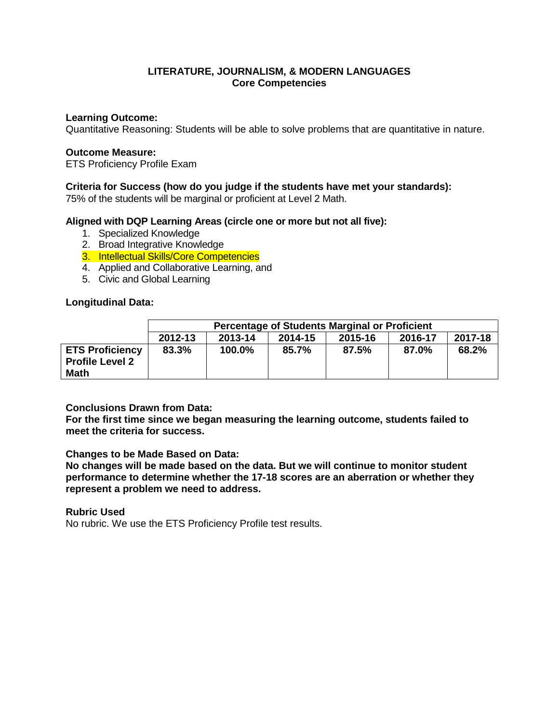### **Learning Outcome:**

Quantitative Reasoning: Students will be able to solve problems that are quantitative in nature.

### **Outcome Measure:**

ETS Proficiency Profile Exam

## **Criteria for Success (how do you judge if the students have met your standards):**

75% of the students will be marginal or proficient at Level 2 Math.

## **Aligned with DQP Learning Areas (circle one or more but not all five):**

- 1. Specialized Knowledge
- 2. Broad Integrative Knowledge
- 3. Intellectual Skills/Core Competencies
- 4. Applied and Collaborative Learning, and
- 5. Civic and Global Learning

### **Longitudinal Data:**

|                                                                 | <b>Percentage of Students Marginal or Proficient</b> |         |         |         |         |         |
|-----------------------------------------------------------------|------------------------------------------------------|---------|---------|---------|---------|---------|
|                                                                 | 2012-13                                              | 2013-14 | 2014-15 | 2015-16 | 2016-17 | 2017-18 |
| <b>ETS Proficiency</b><br><b>Profile Level 2</b><br><b>Math</b> | 83.3%                                                | 100.0%  | 85.7%   | 87.5%   | 87.0%   | 68.2%   |

### **Conclusions Drawn from Data:**

**For the first time since we began measuring the learning outcome, students failed to meet the criteria for success.**

### **Changes to be Made Based on Data:**

**No changes will be made based on the data. But we will continue to monitor student performance to determine whether the 17-18 scores are an aberration or whether they represent a problem we need to address.**

# **Rubric Used**

No rubric. We use the ETS Proficiency Profile test results.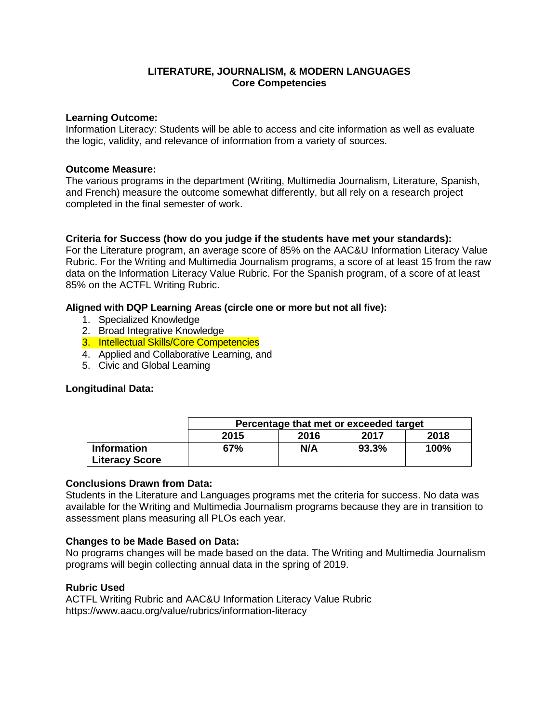### **Learning Outcome:**

Information Literacy: Students will be able to access and cite information as well as evaluate the logic, validity, and relevance of information from a variety of sources.

### **Outcome Measure:**

The various programs in the department (Writing, Multimedia Journalism, Literature, Spanish, and French) measure the outcome somewhat differently, but all rely on a research project completed in the final semester of work.

# **Criteria for Success (how do you judge if the students have met your standards):**

For the Literature program, an average score of 85% on the AAC&U Information Literacy Value Rubric. For the Writing and Multimedia Journalism programs, a score of at least 15 from the raw data on the Information Literacy Value Rubric. For the Spanish program, of a score of at least 85% on the ACTFL Writing Rubric.

## **Aligned with DQP Learning Areas (circle one or more but not all five):**

- 1. Specialized Knowledge
- 2. Broad Integrative Knowledge
- 3. Intellectual Skills/Core Competencies
- 4. Applied and Collaborative Learning, and
- 5. Civic and Global Learning

### **Longitudinal Data:**

|                                             | Percentage that met or exceeded target |      |       |      |  |
|---------------------------------------------|----------------------------------------|------|-------|------|--|
|                                             | 2015                                   | 2016 | 2017  | 2018 |  |
| <b>Information</b><br><b>Literacy Score</b> | 67%                                    | N/A  | 93.3% | 100% |  |

### **Conclusions Drawn from Data:**

Students in the Literature and Languages programs met the criteria for success. No data was available for the Writing and Multimedia Journalism programs because they are in transition to assessment plans measuring all PLOs each year.

### **Changes to be Made Based on Data:**

No programs changes will be made based on the data. The Writing and Multimedia Journalism programs will begin collecting annual data in the spring of 2019.

# **Rubric Used**

ACTFL Writing Rubric and AAC&U Information Literacy Value Rubric https://www.aacu.org/value/rubrics/information-literacy